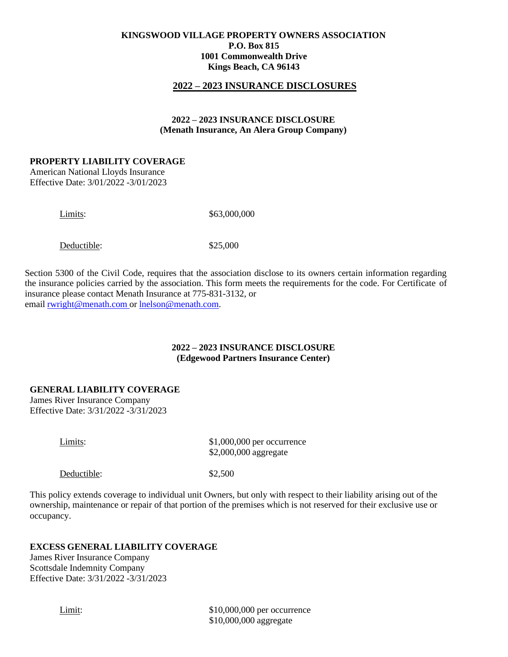## **2022 – 2023 INSURANCE DISCLOSURES**

### **2022 – 2023 INSURANCE DISCLOSURE (Menath Insurance, An Alera Group Company)**

#### **PROPERTY LIABILITY COVERAGE**

American National Lloyds Insurance Effective Date: 3/01/2022 -3/01/2023

Limits: \$63,000,000

Deductible:  $$25,000$ 

Section 5300 of the Civil Code, requires that the association disclose to its owners certain information regarding the insurance policies carried by the association. This form meets the requirements for the code. For Certificate of insurance please contact Menath Insurance at 775-831-3132, or email [rwright@menath.com](mailto:rwright@menath.comor) or [lnelson@menath.com.](mailto:lnelson@menath.com)

### **2022 – 2023 INSURANCE DISCLOSURE (Edgewood Partners Insurance Center)**

## **GENERAL LIABILITY COVERAGE**

James River Insurance Company Effective Date: 3/31/2022 -3/31/2023

Limits:  $$1,000,000$  per occurrence \$2,000,000 aggregate

Deductible:  $$2,500$ 

This policy extends coverage to individual unit Owners, but only with respect to their liability arising out of the ownership, maintenance or repair of that portion of the premises which is not reserved for their exclusive use or occupancy.

# **EXCESS GENERAL LIABILITY COVERAGE**

James River Insurance Company Scottsdale Indemnity Company Effective Date: 3/31/2022 -3/31/2023

Limit:  $$10,000,000$  per occurrence \$10,000,000 aggregate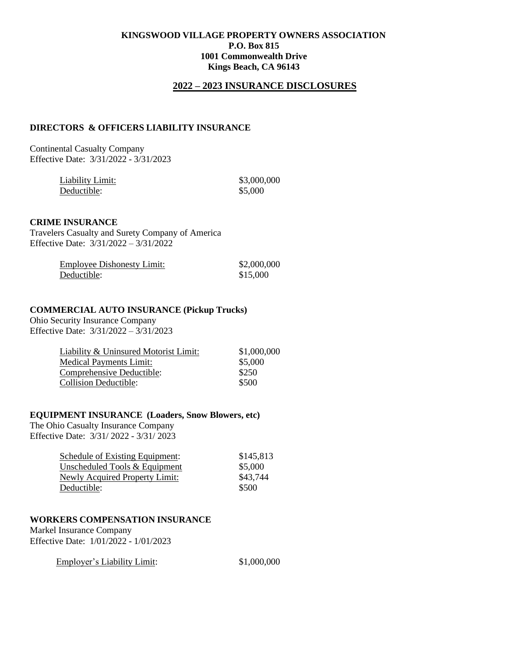## **2022 – 2023 INSURANCE DISCLOSURES**

## **DIRECTORS & OFFICERS LIABILITY INSURANCE**

Continental Casualty Company Effective Date: 3/31/2022 - 3/31/2023

| Liability Limit: | \$3,000,000 |
|------------------|-------------|
| Deductible:      | \$5,000     |

#### **CRIME INSURANCE**

Travelers Casualty and Surety Company of America Effective Date: 3/31/2022 – 3/31/2022

| <b>Employee Dishonesty Limit:</b> | \$2,000,000 |
|-----------------------------------|-------------|
| Deductible:                       | \$15,000    |

### **COMMERCIAL AUTO INSURANCE (Pickup Trucks)**

Ohio Security Insurance Company Effective Date: 3/31/2022 – 3/31/2023

| Liability & Uninsured Motorist Limit: | \$1,000,000 |
|---------------------------------------|-------------|
| <b>Medical Payments Limit:</b>        | \$5,000     |
| Comprehensive Deductible:             | \$250       |
| <b>Collision Deductible:</b>          | \$500       |

### **EQUIPMENT INSURANCE (Loaders, Snow Blowers, etc)**

The Ohio Casualty Insurance Company Effective Date: 3/31/ 2022 - 3/31/ 2023

| \$145,813 |
|-----------|
| \$5,000   |
| \$43,744  |
| \$500     |
|           |

### **WORKERS COMPENSATION INSURANCE**

Markel Insurance Company Effective Date: 1/01/2022 - 1/01/2023

| <b>Employer's Liability Limit:</b> | \$1,000,000 |
|------------------------------------|-------------|
|                                    |             |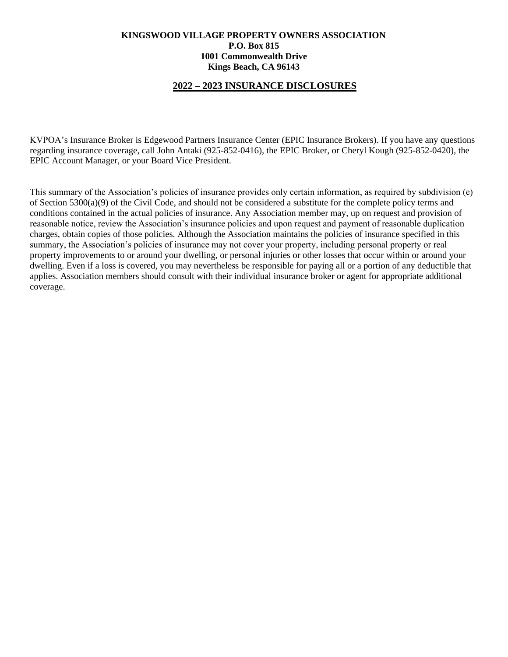# **2022 – 2023 INSURANCE DISCLOSURES**

KVPOA's Insurance Broker is Edgewood Partners Insurance Center (EPIC Insurance Brokers). If you have any questions regarding insurance coverage, call John Antaki (925-852-0416), the EPIC Broker, or Cheryl Kough (925-852-0420), the EPIC Account Manager, or your Board Vice President.

This summary of the Association's policies of insurance provides only certain information, as required by subdivision (e) of Section 5300(a)(9) of the Civil Code, and should not be considered a substitute for the complete policy terms and conditions contained in the actual policies of insurance. Any Association member may, up on request and provision of reasonable notice, review the Association's insurance policies and upon request and payment of reasonable duplication charges, obtain copies of those policies. Although the Association maintains the policies of insurance specified in this summary, the Association's policies of insurance may not cover your property, including personal property or real property improvements to or around your dwelling, or personal injuries or other losses that occur within or around your dwelling. Even if a loss is covered, you may nevertheless be responsible for paying all or a portion of any deductible that applies. Association members should consult with their individual insurance broker or agent for appropriate additional coverage.